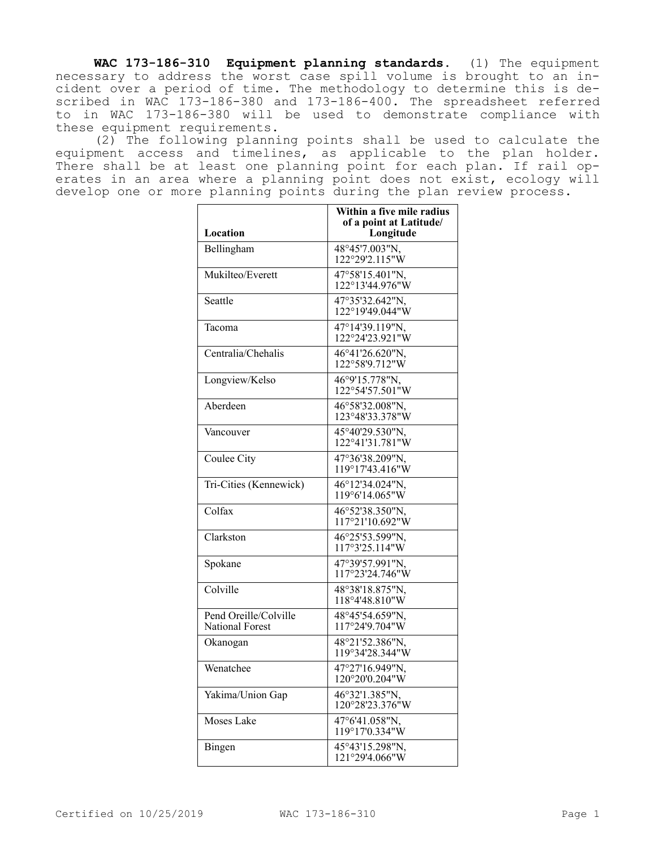**WAC 173-186-310 Equipment planning standards.** (1) The equipment necessary to address the worst case spill volume is brought to an incident over a period of time. The methodology to determine this is described in WAC 173-186-380 and 173-186-400. The spreadsheet referred to in WAC 173-186-380 will be used to demonstrate compliance with these equipment requirements.

(2) The following planning points shall be used to calculate the equipment access and timelines, as applicable to the plan holder. There shall be at least one planning point for each plan. If rail operates in an area where a planning point does not exist, ecology will develop one or more planning points during the plan review process.

|                                                 | Within a five mile radius<br>of a point at Latitude/ |  |
|-------------------------------------------------|------------------------------------------------------|--|
| <b>Location</b>                                 | Longitude                                            |  |
| Bellingham                                      | 48°45'7.003"N,<br>122°29'2.115"W                     |  |
| Mukilteo/Everett                                | 47°58'15.401"N,<br>122°13'44.976"W                   |  |
| Seattle                                         | 47°35'32.642"N,<br>122°19'49.044"W                   |  |
| Tacoma                                          | 47°14'39.119"N,<br>122°24'23.921"W                   |  |
| Centralia/Chehalis                              | 46°41'26.620"N,<br>122°58'9.712"W                    |  |
| Longview/Kelso                                  | 46°9'15.778"N,<br>122°54'57.501"W                    |  |
| Aberdeen                                        | 46°58'32.008"N,<br>123°48'33.378"W                   |  |
| Vancouver                                       | 45°40'29.530"N,<br>122°41'31.781"W                   |  |
| Coulee City                                     | 47°36'38.209"N,<br>119°17'43.416"W                   |  |
| Tri-Cities (Kennewick)                          | 46°12'34.024"N,<br>119°6'14.065"W                    |  |
| Colfax                                          | 46°52'38.350"N,<br>117°21'10.692"W                   |  |
| Clarkston                                       | 46°25'53.599"N,<br>117°3'25.114"W                    |  |
| Spokane                                         | 47°39'57.991"N,<br>117°23'24.746"W                   |  |
| Colville                                        | 48°38'18.875"N,<br>118°4'48.810"W                    |  |
| Pend Oreille/Colville<br><b>National Forest</b> | 48°45'54.659"N,<br>117°24'9.704"W                    |  |
| Okanogan                                        | 48°21'52.386"N,<br>119°34'28.344"W                   |  |
| Wenatchee                                       | 47°27'16.949"N,<br>120°20'0.204"W                    |  |
| Yakima/Union Gap                                | 46°32'1.385"N,<br>120°28'23.376"W                    |  |
| Moses Lake                                      | 47°6'41.058"N,<br>119°17'0.334"W                     |  |
| Bingen                                          | 45°43'15.298"N,<br>121°29'4.066"W                    |  |